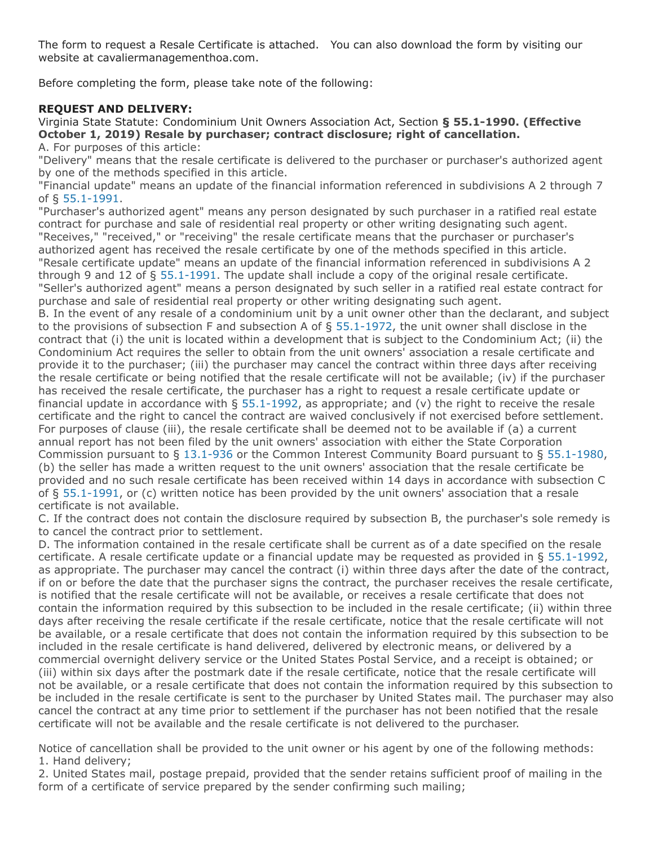The form to request a Resale Certificate is attached. You can also download the form by visiting our website at cavaliermanagementhoa.com.

Before completing the form, please take note of the following:

# **REQUEST AND DELIVERY:**

Virginia State Statute: Condominium Unit Owners Association Act, Section **§ 55.1-1990. (Effective October 1, 2019) Resale by purchaser; contract disclosure; right of cancellation.** A. For purposes of this article:

"Delivery" means that the resale certificate is delivered to the purchaser or purchaser's authorized agent by one of the methods specified in this article.

"Financial update" means an update of the financial information referenced in subdivisions A 2 through 7 of § [55.1-1991.](https://law.lis.virginia.gov/vacode/55.1-1991/)

"Purchaser's authorized agent" means any person designated by such purchaser in a ratified real estate contract for purchase and sale of residential real property or other writing designating such agent. "Receives," "received," or "receiving" the resale certificate means that the purchaser or purchaser's authorized agent has received the resale certificate by one of the methods specified in this article. "Resale certificate update" means an update of the financial information referenced in subdivisions A 2 through 9 and 12 of § [55.1-1991](https://law.lis.virginia.gov/vacode/55.1-1991/). The update shall include a copy of the original resale certificate. "Seller's authorized agent" means a person designated by such seller in a ratified real estate contract for purchase and sale of residential real property or other writing designating such agent.

B. In the event of any resale of a condominium unit by a unit owner other than the declarant, and subject to the provisions of subsection F and subsection A of § [55.1-1972,](https://law.lis.virginia.gov/vacode/55.1-1972/) the unit owner shall disclose in the contract that (i) the unit is located within a development that is subject to the Condominium Act; (ii) the Condominium Act requires the seller to obtain from the unit owners' association a resale certificate and provide it to the purchaser; (iii) the purchaser may cancel the contract within three days after receiving the resale certificate or being notified that the resale certificate will not be available; (iv) if the purchaser has received the resale certificate, the purchaser has a right to request a resale certificate update or financial update in accordance with  $\S$  [55.1-1992](https://law.lis.virginia.gov/vacode/55.1-1992/), as appropriate; and (v) the right to receive the resale certificate and the right to cancel the contract are waived conclusively if not exercised before settlement. For purposes of clause (iii), the resale certificate shall be deemed not to be available if (a) a current annual report has not been filed by the unit owners' association with either the State Corporation Commission pursuant to § [13.1-936](https://law.lis.virginia.gov/vacode/13.1-936/) or the Common Interest Community Board pursuant to § [55.1-1980,](https://law.lis.virginia.gov/vacode/55.1-1980/) (b) the seller has made a written request to the unit owners' association that the resale certificate be provided and no such resale certificate has been received within 14 days in accordance with subsection C of § [55.1-1991,](https://law.lis.virginia.gov/vacode/55.1-1991/) or (c) written notice has been provided by the unit owners' association that a resale certificate is not available.

C. If the contract does not contain the disclosure required by subsection B, the purchaser's sole remedy is to cancel the contract prior to settlement.

D. The information contained in the resale certificate shall be current as of a date specified on the resale certificate. A resale certificate update or a financial update may be requested as provided in § [55.1-1992,](https://law.lis.virginia.gov/vacode/55.1-1992/) as appropriate. The purchaser may cancel the contract (i) within three days after the date of the contract, if on or before the date that the purchaser signs the contract, the purchaser receives the resale certificate, is notified that the resale certificate will not be available, or receives a resale certificate that does not contain the information required by this subsection to be included in the resale certificate; (ii) within three days after receiving the resale certificate if the resale certificate, notice that the resale certificate will not be available, or a resale certificate that does not contain the information required by this subsection to be included in the resale certificate is hand delivered, delivered by electronic means, or delivered by a commercial overnight delivery service or the United States Postal Service, and a receipt is obtained; or (iii) within six days after the postmark date if the resale certificate, notice that the resale certificate will not be available, or a resale certificate that does not contain the information required by this subsection to be included in the resale certificate is sent to the purchaser by United States mail. The purchaser may also cancel the contract at any time prior to settlement if the purchaser has not been notified that the resale certificate will not be available and the resale certificate is not delivered to the purchaser.

Notice of cancellation shall be provided to the unit owner or his agent by one of the following methods: 1. Hand delivery;

2. United States mail, postage prepaid, provided that the sender retains sufficient proof of mailing in the form of a certificate of service prepared by the sender confirming such mailing;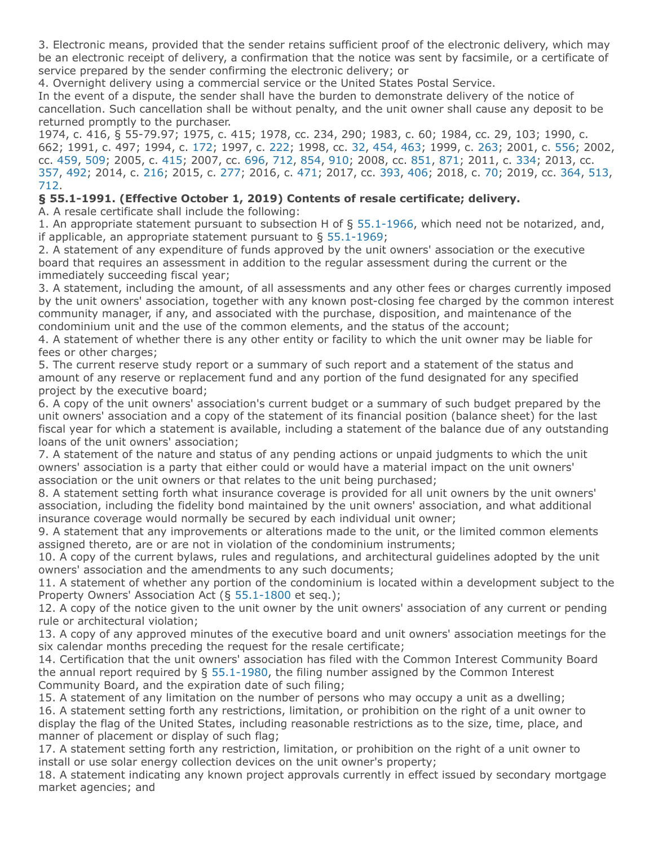3. Electronic means, provided that the sender retains sufficient proof of the electronic delivery, which may be an electronic receipt of delivery, a confirmation that the notice was sent by facsimile, or a certificate of service prepared by the sender confirming the electronic delivery; or

4. Overnight delivery using a commercial service or the United States Postal Service.

In the event of a dispute, the sender shall have the burden to demonstrate delivery of the notice of cancellation. Such cancellation shall be without penalty, and the unit owner shall cause any deposit to be returned promptly to the purchaser.

1974, c. 416, § 55-79.97; 1975, c. 415; 1978, cc. 234, 290; 1983, c. 60; 1984, cc. 29, 103; 1990, c. 662; 1991, c. 497; 1994, c. [172;](http://lis.virginia.gov/cgi-bin/legp604.exe?941+ful+CHAP0172) 1997, c. [222;](http://lis.virginia.gov/cgi-bin/legp604.exe?971+ful+CHAP0222) 1998, cc. [32](http://lis.virginia.gov/cgi-bin/legp604.exe?981+ful+CHAP0032), [454](http://lis.virginia.gov/cgi-bin/legp604.exe?981+ful+CHAP0454), [463](http://lis.virginia.gov/cgi-bin/legp604.exe?981+ful+CHAP0463); 1999, c. [263](http://lis.virginia.gov/cgi-bin/legp604.exe?991+ful+CHAP0263); 2001, c. [556](http://lis.virginia.gov/cgi-bin/legp604.exe?011+ful+CHAP0556); 2002, cc. [459,](http://lis.virginia.gov/cgi-bin/legp604.exe?021+ful+CHAP0459) [509;](http://lis.virginia.gov/cgi-bin/legp604.exe?021+ful+CHAP0509) 2005, c. [415;](http://lis.virginia.gov/cgi-bin/legp604.exe?051+ful+CHAP0415) 2007, cc. [696](http://lis.virginia.gov/cgi-bin/legp604.exe?071+ful+CHAP0696), [712](http://lis.virginia.gov/cgi-bin/legp604.exe?071+ful+CHAP0712), [854,](http://lis.virginia.gov/cgi-bin/legp604.exe?071+ful+CHAP0854) [910;](http://lis.virginia.gov/cgi-bin/legp604.exe?071+ful+CHAP0910) 2008, cc. [851](http://lis.virginia.gov/cgi-bin/legp604.exe?081+ful+CHAP0851), [871](http://lis.virginia.gov/cgi-bin/legp604.exe?081+ful+CHAP0871); 2011, c. [334](http://lis.virginia.gov/cgi-bin/legp604.exe?111+ful+CHAP0334); 2013, cc. [357](http://lis.virginia.gov/cgi-bin/legp604.exe?131+ful+CHAP0357), [492](http://lis.virginia.gov/cgi-bin/legp604.exe?131+ful+CHAP0492); 2014, c. [216](http://lis.virginia.gov/cgi-bin/legp604.exe?141+ful+CHAP0216); 2015, c. [277;](http://lis.virginia.gov/cgi-bin/legp604.exe?151+ful+CHAP0277) 2016, c. [471;](http://lis.virginia.gov/cgi-bin/legp604.exe?161+ful+CHAP0471) 2017, cc. [393,](http://lis.virginia.gov/cgi-bin/legp604.exe?171+ful+CHAP0393) [406;](http://lis.virginia.gov/cgi-bin/legp604.exe?171+ful+CHAP0406) 2018, c. [70](http://lis.virginia.gov/cgi-bin/legp604.exe?181+ful+CHAP0070); 2019, cc. [364,](http://lis.virginia.gov/cgi-bin/legp604.exe?191+ful+CHAP0364) [513](http://lis.virginia.gov/cgi-bin/legp604.exe?191+ful+CHAP0513), [712](http://lis.virginia.gov/cgi-bin/legp604.exe?191+ful+CHAP0712).

# **§ 55.1-1991. (Effective October 1, 2019) Contents of resale certificate; delivery.**

A. A resale certificate shall include the following:

1. An appropriate statement pursuant to subsection H of § [55.1-1966](https://law.lis.virginia.gov/vacode/55.1-1966/), which need not be notarized, and, if applicable, an appropriate statement pursuant to  $\S$  [55.1-1969](https://law.lis.virginia.gov/vacode/55.1-1969/);

2. A statement of any expenditure of funds approved by the unit owners' association or the executive board that requires an assessment in addition to the regular assessment during the current or the immediately succeeding fiscal year;

3. A statement, including the amount, of all assessments and any other fees or charges currently imposed by the unit owners' association, together with any known post-closing fee charged by the common interest community manager, if any, and associated with the purchase, disposition, and maintenance of the condominium unit and the use of the common elements, and the status of the account;

4. A statement of whether there is any other entity or facility to which the unit owner may be liable for fees or other charges;

5. The current reserve study report or a summary of such report and a statement of the status and amount of any reserve or replacement fund and any portion of the fund designated for any specified project by the executive board;

6. A copy of the unit owners' association's current budget or a summary of such budget prepared by the unit owners' association and a copy of the statement of its financial position (balance sheet) for the last fiscal year for which a statement is available, including a statement of the balance due of any outstanding loans of the unit owners' association;

7. A statement of the nature and status of any pending actions or unpaid judgments to which the unit owners' association is a party that either could or would have a material impact on the unit owners' association or the unit owners or that relates to the unit being purchased;

8. A statement setting forth what insurance coverage is provided for all unit owners by the unit owners' association, including the fidelity bond maintained by the unit owners' association, and what additional insurance coverage would normally be secured by each individual unit owner;

9. A statement that any improvements or alterations made to the unit, or the limited common elements assigned thereto, are or are not in violation of the condominium instruments;

10. A copy of the current bylaws, rules and regulations, and architectural guidelines adopted by the unit owners' association and the amendments to any such documents;

11. A statement of whether any portion of the condominium is located within a development subject to the Property Owners' Association Act (§ [55.1-1800](https://law.lis.virginia.gov/vacode/55.1-1800/) et seq.);

12. A copy of the notice given to the unit owner by the unit owners' association of any current or pending rule or architectural violation;

13. A copy of any approved minutes of the executive board and unit owners' association meetings for the six calendar months preceding the request for the resale certificate;

14. Certification that the unit owners' association has filed with the Common Interest Community Board the annual report required by § [55.1-1980,](https://law.lis.virginia.gov/vacode/55.1-1980/) the filing number assigned by the Common Interest Community Board, and the expiration date of such filing;

15. A statement of any limitation on the number of persons who may occupy a unit as a dwelling; 16. A statement setting forth any restrictions, limitation, or prohibition on the right of a unit owner to display the flag of the United States, including reasonable restrictions as to the size, time, place, and manner of placement or display of such flag;

17. A statement setting forth any restriction, limitation, or prohibition on the right of a unit owner to install or use solar energy collection devices on the unit owner's property;

18. A statement indicating any known project approvals currently in effect issued by secondary mortgage market agencies; and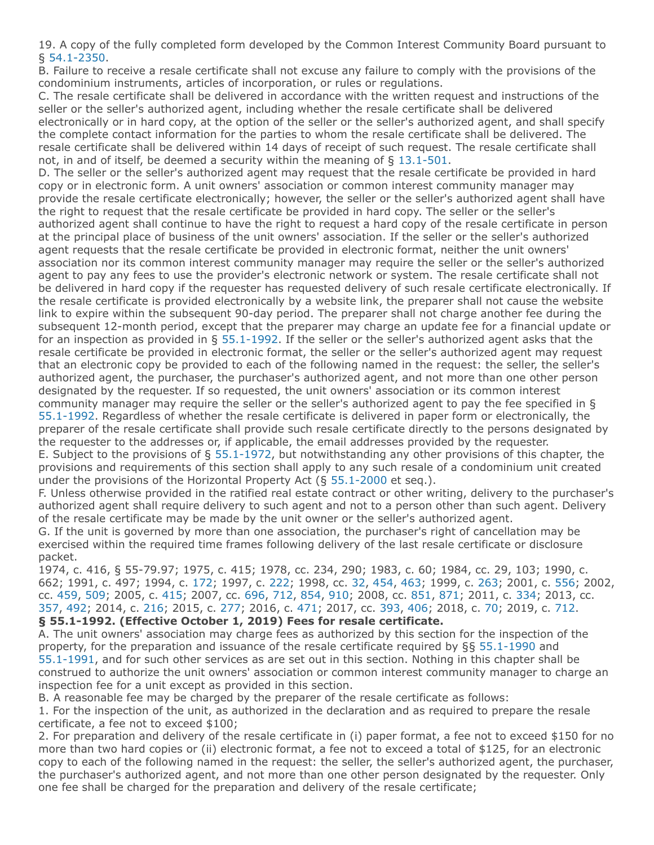19. A copy of the fully completed form developed by the Common Interest Community Board pursuant to § [54.1-2350](https://law.lis.virginia.gov/vacode/54.1-2350/).

B. Failure to receive a resale certificate shall not excuse any failure to comply with the provisions of the condominium instruments, articles of incorporation, or rules or regulations.

C. The resale certificate shall be delivered in accordance with the written request and instructions of the seller or the seller's authorized agent, including whether the resale certificate shall be delivered electronically or in hard copy, at the option of the seller or the seller's authorized agent, and shall specify the complete contact information for the parties to whom the resale certificate shall be delivered. The resale certificate shall be delivered within 14 days of receipt of such request. The resale certificate shall not, in and of itself, be deemed a security within the meaning of § [13.1-501](https://law.lis.virginia.gov/vacode/13.1-501/).

D. The seller or the seller's authorized agent may request that the resale certificate be provided in hard copy or in electronic form. A unit owners' association or common interest community manager may provide the resale certificate electronically; however, the seller or the seller's authorized agent shall have the right to request that the resale certificate be provided in hard copy. The seller or the seller's authorized agent shall continue to have the right to request a hard copy of the resale certificate in person at the principal place of business of the unit owners' association. If the seller or the seller's authorized agent requests that the resale certificate be provided in electronic format, neither the unit owners' association nor its common interest community manager may require the seller or the seller's authorized agent to pay any fees to use the provider's electronic network or system. The resale certificate shall not be delivered in hard copy if the requester has requested delivery of such resale certificate electronically. If the resale certificate is provided electronically by a website link, the preparer shall not cause the website link to expire within the subsequent 90-day period. The preparer shall not charge another fee during the subsequent 12-month period, except that the preparer may charge an update fee for a financial update or for an inspection as provided in § [55.1-1992](https://law.lis.virginia.gov/vacode/55.1-1992/). If the seller or the seller's authorized agent asks that the resale certificate be provided in electronic format, the seller or the seller's authorized agent may request that an electronic copy be provided to each of the following named in the request: the seller, the seller's authorized agent, the purchaser, the purchaser's authorized agent, and not more than one other person designated by the requester. If so requested, the unit owners' association or its common interest community manager may require the seller or the seller's authorized agent to pay the fee specified in § [55.1-1992](https://law.lis.virginia.gov/vacode/55.1-1992/). Regardless of whether the resale certificate is delivered in paper form or electronically, the preparer of the resale certificate shall provide such resale certificate directly to the persons designated by the requester to the addresses or, if applicable, the email addresses provided by the requester. E. Subject to the provisions of § [55.1-1972](https://law.lis.virginia.gov/vacode/55.1-1972/), but notwithstanding any other provisions of this chapter, the provisions and requirements of this section shall apply to any such resale of a condominium unit created

under the provisions of the Horizontal Property Act (§ [55.1-2000](https://law.lis.virginia.gov/vacode/55.1-2000/) et seq.).

F. Unless otherwise provided in the ratified real estate contract or other writing, delivery to the purchaser's authorized agent shall require delivery to such agent and not to a person other than such agent. Delivery of the resale certificate may be made by the unit owner or the seller's authorized agent.

G. If the unit is governed by more than one association, the purchaser's right of cancellation may be exercised within the required time frames following delivery of the last resale certificate or disclosure packet.

1974, c. 416, § 55-79.97; 1975, c. 415; 1978, cc. 234, 290; 1983, c. 60; 1984, cc. 29, 103; 1990, c. 662; 1991, c. 497; 1994, c. [172;](http://lis.virginia.gov/cgi-bin/legp604.exe?941+ful+CHAP0172) 1997, c. [222;](http://lis.virginia.gov/cgi-bin/legp604.exe?971+ful+CHAP0222) 1998, cc. [32](http://lis.virginia.gov/cgi-bin/legp604.exe?981+ful+CHAP0032), [454](http://lis.virginia.gov/cgi-bin/legp604.exe?981+ful+CHAP0454), [463](http://lis.virginia.gov/cgi-bin/legp604.exe?981+ful+CHAP0463); 1999, c. [263](http://lis.virginia.gov/cgi-bin/legp604.exe?991+ful+CHAP0263); 2001, c. [556](http://lis.virginia.gov/cgi-bin/legp604.exe?011+ful+CHAP0556); 2002, cc. [459,](http://lis.virginia.gov/cgi-bin/legp604.exe?021+ful+CHAP0459) [509;](http://lis.virginia.gov/cgi-bin/legp604.exe?021+ful+CHAP0509) 2005, c. [415;](http://lis.virginia.gov/cgi-bin/legp604.exe?051+ful+CHAP0415) 2007, cc. [696](http://lis.virginia.gov/cgi-bin/legp604.exe?071+ful+CHAP0696), [712](http://lis.virginia.gov/cgi-bin/legp604.exe?071+ful+CHAP0712), [854,](http://lis.virginia.gov/cgi-bin/legp604.exe?071+ful+CHAP0854) [910;](http://lis.virginia.gov/cgi-bin/legp604.exe?071+ful+CHAP0910) 2008, cc. [851](http://lis.virginia.gov/cgi-bin/legp604.exe?081+ful+CHAP0851), [871](http://lis.virginia.gov/cgi-bin/legp604.exe?081+ful+CHAP0871); 2011, c. [334](http://lis.virginia.gov/cgi-bin/legp604.exe?111+ful+CHAP0334); 2013, cc. [357](http://lis.virginia.gov/cgi-bin/legp604.exe?131+ful+CHAP0357), [492](http://lis.virginia.gov/cgi-bin/legp604.exe?131+ful+CHAP0492); 2014, c. [216](http://lis.virginia.gov/cgi-bin/legp604.exe?141+ful+CHAP0216); 2015, c. [277;](http://lis.virginia.gov/cgi-bin/legp604.exe?151+ful+CHAP0277) 2016, c. [471;](http://lis.virginia.gov/cgi-bin/legp604.exe?161+ful+CHAP0471) 2017, cc. [393,](http://lis.virginia.gov/cgi-bin/legp604.exe?171+ful+CHAP0393) [406;](http://lis.virginia.gov/cgi-bin/legp604.exe?171+ful+CHAP0406) 2018, c. [70](http://lis.virginia.gov/cgi-bin/legp604.exe?181+ful+CHAP0070); 2019, c. [712](http://lis.virginia.gov/cgi-bin/legp604.exe?191+ful+CHAP0712). **§ 55.1-1992. (Effective October 1, 2019) Fees for resale certificate.**

A. The unit owners' association may charge fees as authorized by this section for the inspection of the property, for the preparation and issuance of the resale certificate required by §§ [55.1-1990](https://law.lis.virginia.gov/vacode/55.1-1990/) and [55.1-1991](https://law.lis.virginia.gov/vacode/55.1-1991/), and for such other services as are set out in this section. Nothing in this chapter shall be construed to authorize the unit owners' association or common interest community manager to charge an inspection fee for a unit except as provided in this section.

B. A reasonable fee may be charged by the preparer of the resale certificate as follows:

1. For the inspection of the unit, as authorized in the declaration and as required to prepare the resale certificate, a fee not to exceed \$100;

2. For preparation and delivery of the resale certificate in (i) paper format, a fee not to exceed \$150 for no more than two hard copies or (ii) electronic format, a fee not to exceed a total of \$125, for an electronic copy to each of the following named in the request: the seller, the seller's authorized agent, the purchaser, the purchaser's authorized agent, and not more than one other person designated by the requester. Only one fee shall be charged for the preparation and delivery of the resale certificate;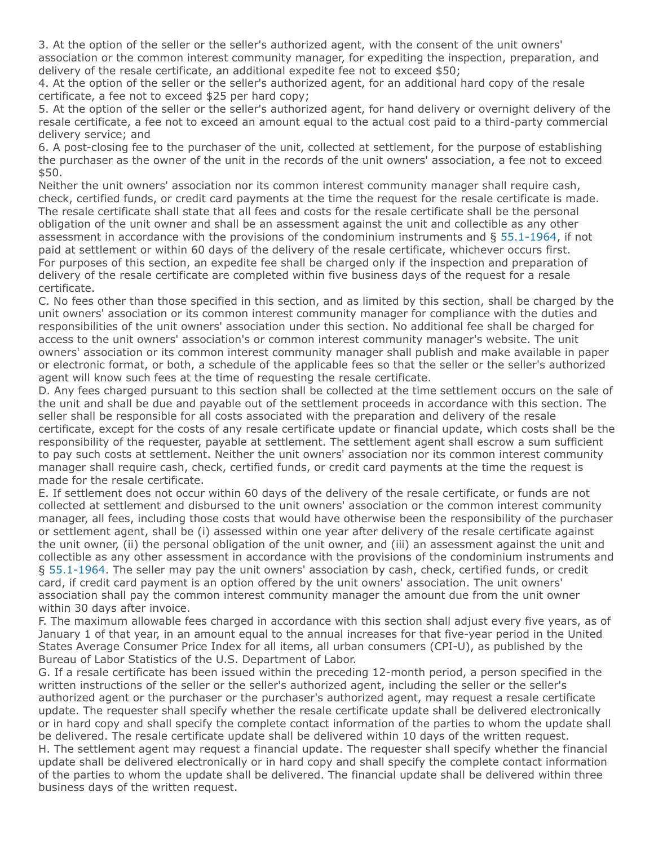3. At the option of the seller or the seller's authorized agent, with the consent of the unit owners' association or the common interest community manager, for expediting the inspection, preparation, and delivery of the resale certificate, an additional expedite fee not to exceed \$50;

4. At the option of the seller or the seller's authorized agent, for an additional hard copy of the resale certificate, a fee not to exceed \$25 per hard copy;

5. At the option of the seller or the seller's authorized agent, for hand delivery or overnight delivery of the resale certificate, a fee not to exceed an amount equal to the actual cost paid to a third-party commercial delivery service; and

6. A post-closing fee to the purchaser of the unit, collected at settlement, for the purpose of establishing the purchaser as the owner of the unit in the records of the unit owners' association, a fee not to exceed \$50.

Neither the unit owners' association nor its common interest community manager shall require cash, check, certified funds, or credit card payments at the time the request for the resale certificate is made. The resale certificate shall state that all fees and costs for the resale certificate shall be the personal obligation of the unit owner and shall be an assessment against the unit and collectible as any other assessment in accordance with the provisions of the condominium instruments and § [55.1-1964](https://law.lis.virginia.gov/vacode/55.1-1964/), if not paid at settlement or within 60 days of the delivery of the resale certificate, whichever occurs first. For purposes of this section, an expedite fee shall be charged only if the inspection and preparation of delivery of the resale certificate are completed within five business days of the request for a resale certificate.

C. No fees other than those specified in this section, and as limited by this section, shall be charged by the unit owners' association or its common interest community manager for compliance with the duties and responsibilities of the unit owners' association under this section. No additional fee shall be charged for access to the unit owners' association's or common interest community manager's website. The unit owners' association or its common interest community manager shall publish and make available in paper or electronic format, or both, a schedule of the applicable fees so that the seller or the seller's authorized agent will know such fees at the time of requesting the resale certificate.

D. Any fees charged pursuant to this section shall be collected at the time settlement occurs on the sale of the unit and shall be due and payable out of the settlement proceeds in accordance with this section. The seller shall be responsible for all costs associated with the preparation and delivery of the resale certificate, except for the costs of any resale certificate update or financial update, which costs shall be the responsibility of the requester, payable at settlement. The settlement agent shall escrow a sum sufficient to pay such costs at settlement. Neither the unit owners' association nor its common interest community manager shall require cash, check, certified funds, or credit card payments at the time the request is made for the resale certificate.

E. If settlement does not occur within 60 days of the delivery of the resale certificate, or funds are not collected at settlement and disbursed to the unit owners' association or the common interest community manager, all fees, including those costs that would have otherwise been the responsibility of the purchaser or settlement agent, shall be (i) assessed within one year after delivery of the resale certificate against the unit owner, (ii) the personal obligation of the unit owner, and (iii) an assessment against the unit and collectible as any other assessment in accordance with the provisions of the condominium instruments and § [55.1-1964](https://law.lis.virginia.gov/vacode/55.1-1964/). The seller may pay the unit owners' association by cash, check, certified funds, or credit card, if credit card payment is an option offered by the unit owners' association. The unit owners' association shall pay the common interest community manager the amount due from the unit owner within 30 days after invoice.

F. The maximum allowable fees charged in accordance with this section shall adjust every five years, as of January 1 of that year, in an amount equal to the annual increases for that five-year period in the United States Average Consumer Price Index for all items, all urban consumers (CPI-U), as published by the Bureau of Labor Statistics of the U.S. Department of Labor.

G. If a resale certificate has been issued within the preceding 12-month period, a person specified in the written instructions of the seller or the seller's authorized agent, including the seller or the seller's authorized agent or the purchaser or the purchaser's authorized agent, may request a resale certificate update. The requester shall specify whether the resale certificate update shall be delivered electronically or in hard copy and shall specify the complete contact information of the parties to whom the update shall be delivered. The resale certificate update shall be delivered within 10 days of the written request. H. The settlement agent may request a financial update. The requester shall specify whether the financial update shall be delivered electronically or in hard copy and shall specify the complete contact information of the parties to whom the update shall be delivered. The financial update shall be delivered within three business days of the written request.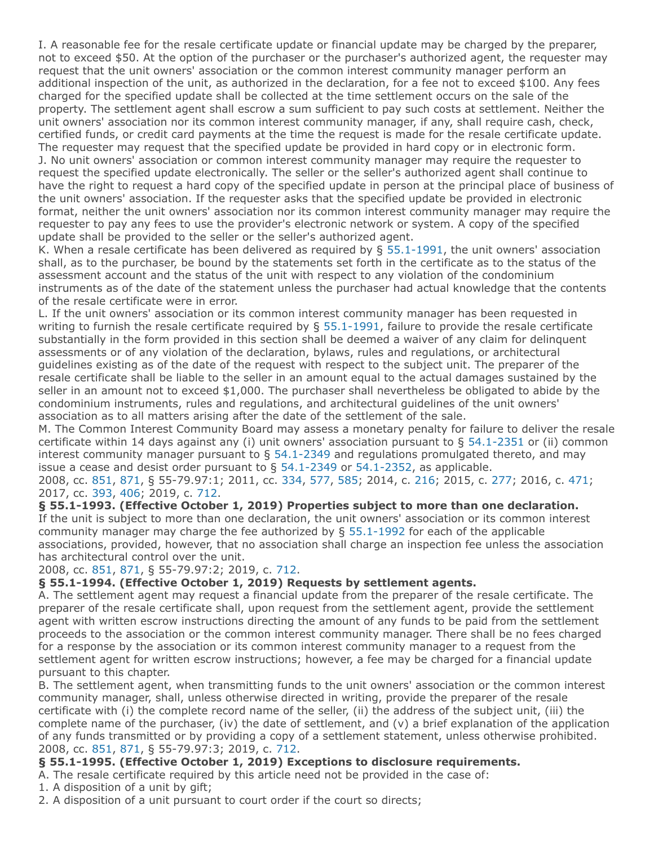I. A reasonable fee for the resale certificate update or financial update may be charged by the preparer, not to exceed \$50. At the option of the purchaser or the purchaser's authorized agent, the requester may request that the unit owners' association or the common interest community manager perform an additional inspection of the unit, as authorized in the declaration, for a fee not to exceed \$100. Any fees charged for the specified update shall be collected at the time settlement occurs on the sale of the property. The settlement agent shall escrow a sum sufficient to pay such costs at settlement. Neither the unit owners' association nor its common interest community manager, if any, shall require cash, check, certified funds, or credit card payments at the time the request is made for the resale certificate update. The requester may request that the specified update be provided in hard copy or in electronic form. J. No unit owners' association or common interest community manager may require the requester to request the specified update electronically. The seller or the seller's authorized agent shall continue to have the right to request a hard copy of the specified update in person at the principal place of business of the unit owners' association. If the requester asks that the specified update be provided in electronic format, neither the unit owners' association nor its common interest community manager may require the requester to pay any fees to use the provider's electronic network or system. A copy of the specified update shall be provided to the seller or the seller's authorized agent.

K. When a resale certificate has been delivered as required by  $\S$  [55.1-1991](https://law.lis.virginia.gov/vacode/55.1-1991/), the unit owners' association shall, as to the purchaser, be bound by the statements set forth in the certificate as to the status of the assessment account and the status of the unit with respect to any violation of the condominium instruments as of the date of the statement unless the purchaser had actual knowledge that the contents of the resale certificate were in error.

L. If the unit owners' association or its common interest community manager has been requested in writing to furnish the resale certificate required by § [55.1-1991,](https://law.lis.virginia.gov/vacode/55.1-1991/) failure to provide the resale certificate substantially in the form provided in this section shall be deemed a waiver of any claim for delinquent assessments or of any violation of the declaration, bylaws, rules and regulations, or architectural guidelines existing as of the date of the request with respect to the subject unit. The preparer of the resale certificate shall be liable to the seller in an amount equal to the actual damages sustained by the seller in an amount not to exceed \$1,000. The purchaser shall nevertheless be obligated to abide by the condominium instruments, rules and regulations, and architectural guidelines of the unit owners' association as to all matters arising after the date of the settlement of the sale.

M. The Common Interest Community Board may assess a monetary penalty for failure to deliver the resale certificate within 14 days against any (i) unit owners' association pursuant to § [54.1-2351](https://law.lis.virginia.gov/vacode/54.1-2351/) or (ii) common interest community manager pursuant to  $\S$  [54.1-2349](https://law.lis.virginia.gov/vacode/54.1-2349/) and regulations promulgated thereto, and may issue a cease and desist order pursuant to § [54.1-2349](https://law.lis.virginia.gov/vacode/54.1-2349/) or [54.1-2352,](https://law.lis.virginia.gov/vacode/54.1-2352/) as applicable.

2008, cc. [851](http://lis.virginia.gov/cgi-bin/legp604.exe?081+ful+CHAP0851), [871](http://lis.virginia.gov/cgi-bin/legp604.exe?081+ful+CHAP0871), § 55-79.97:1; 2011, cc. [334,](http://lis.virginia.gov/cgi-bin/legp604.exe?111+ful+CHAP0334) [577](http://lis.virginia.gov/cgi-bin/legp604.exe?111+ful+CHAP0577), [585](http://lis.virginia.gov/cgi-bin/legp604.exe?111+ful+CHAP0585); 2014, c. [216](http://lis.virginia.gov/cgi-bin/legp604.exe?141+ful+CHAP0216); 2015, c. [277](http://lis.virginia.gov/cgi-bin/legp604.exe?151+ful+CHAP0277); 2016, c. [471](http://lis.virginia.gov/cgi-bin/legp604.exe?161+ful+CHAP0471); 2017, cc. [393](http://lis.virginia.gov/cgi-bin/legp604.exe?171+ful+CHAP0393), [406](http://lis.virginia.gov/cgi-bin/legp604.exe?171+ful+CHAP0406); 2019, c. [712](http://lis.virginia.gov/cgi-bin/legp604.exe?191+ful+CHAP0712).

## **§ 55.1-1993. (Effective October 1, 2019) Properties subject to more than one declaration.**

If the unit is subject to more than one declaration, the unit owners' association or its common interest community manager may charge the fee authorized by § [55.1-1992](https://law.lis.virginia.gov/vacode/55.1-1992/) for each of the applicable associations, provided, however, that no association shall charge an inspection fee unless the association has architectural control over the unit.

2008, cc. [851](http://lis.virginia.gov/cgi-bin/legp604.exe?081+ful+CHAP0851), [871](http://lis.virginia.gov/cgi-bin/legp604.exe?081+ful+CHAP0871), § 55-79.97:2; 2019, c. [712.](http://lis.virginia.gov/cgi-bin/legp604.exe?191+ful+CHAP0712)

## **§ 55.1-1994. (Effective October 1, 2019) Requests by settlement agents.**

A. The settlement agent may request a financial update from the preparer of the resale certificate. The preparer of the resale certificate shall, upon request from the settlement agent, provide the settlement agent with written escrow instructions directing the amount of any funds to be paid from the settlement proceeds to the association or the common interest community manager. There shall be no fees charged for a response by the association or its common interest community manager to a request from the settlement agent for written escrow instructions; however, a fee may be charged for a financial update pursuant to this chapter.

B. The settlement agent, when transmitting funds to the unit owners' association or the common interest community manager, shall, unless otherwise directed in writing, provide the preparer of the resale certificate with (i) the complete record name of the seller, (ii) the address of the subject unit, (iii) the complete name of the purchaser, (iv) the date of settlement, and (v) a brief explanation of the application of any funds transmitted or by providing a copy of a settlement statement, unless otherwise prohibited. 2008, cc. [851](http://lis.virginia.gov/cgi-bin/legp604.exe?081+ful+CHAP0851), [871](http://lis.virginia.gov/cgi-bin/legp604.exe?081+ful+CHAP0871), § 55-79.97:3; 2019, c. [712.](http://lis.virginia.gov/cgi-bin/legp604.exe?191+ful+CHAP0712)

# **§ 55.1-1995. (Effective October 1, 2019) Exceptions to disclosure requirements.**

A. The resale certificate required by this article need not be provided in the case of:

1. A disposition of a unit by gift;

2. A disposition of a unit pursuant to court order if the court so directs;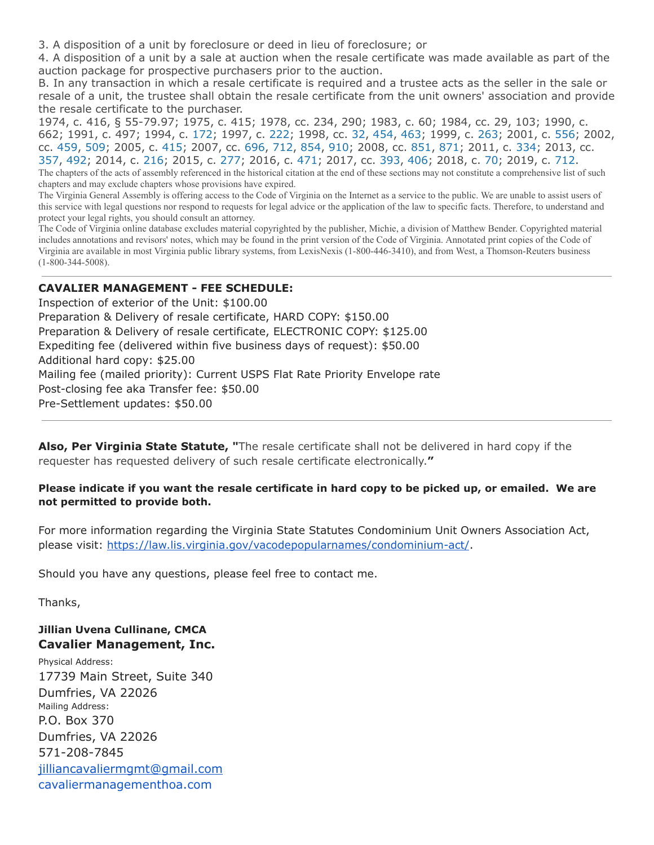3. A disposition of a unit by foreclosure or deed in lieu of foreclosure; or

4. A disposition of a unit by a sale at auction when the resale certificate was made available as part of the auction package for prospective purchasers prior to the auction.

B. In any transaction in which a resale certificate is required and a trustee acts as the seller in the sale or resale of a unit, the trustee shall obtain the resale certificate from the unit owners' association and provide the resale certificate to the purchaser.

1974, c. 416, § 55-79.97; 1975, c. 415; 1978, cc. 234, 290; 1983, c. 60; 1984, cc. 29, 103; 1990, c. 662; 1991, c. 497; 1994, c. [172;](http://lis.virginia.gov/cgi-bin/legp604.exe?941+ful+CHAP0172) 1997, c. [222;](http://lis.virginia.gov/cgi-bin/legp604.exe?971+ful+CHAP0222) 1998, cc. [32](http://lis.virginia.gov/cgi-bin/legp604.exe?981+ful+CHAP0032), [454](http://lis.virginia.gov/cgi-bin/legp604.exe?981+ful+CHAP0454), [463](http://lis.virginia.gov/cgi-bin/legp604.exe?981+ful+CHAP0463); 1999, c. [263](http://lis.virginia.gov/cgi-bin/legp604.exe?991+ful+CHAP0263); 2001, c. [556](http://lis.virginia.gov/cgi-bin/legp604.exe?011+ful+CHAP0556); 2002, cc. [459,](http://lis.virginia.gov/cgi-bin/legp604.exe?021+ful+CHAP0459) [509;](http://lis.virginia.gov/cgi-bin/legp604.exe?021+ful+CHAP0509) 2005, c. [415;](http://lis.virginia.gov/cgi-bin/legp604.exe?051+ful+CHAP0415) 2007, cc. [696](http://lis.virginia.gov/cgi-bin/legp604.exe?071+ful+CHAP0696), [712](http://lis.virginia.gov/cgi-bin/legp604.exe?071+ful+CHAP0712), [854,](http://lis.virginia.gov/cgi-bin/legp604.exe?071+ful+CHAP0854) [910;](http://lis.virginia.gov/cgi-bin/legp604.exe?071+ful+CHAP0910) 2008, cc. [851](http://lis.virginia.gov/cgi-bin/legp604.exe?081+ful+CHAP0851), [871](http://lis.virginia.gov/cgi-bin/legp604.exe?081+ful+CHAP0871); 2011, c. [334](http://lis.virginia.gov/cgi-bin/legp604.exe?111+ful+CHAP0334); 2013, cc. [357](http://lis.virginia.gov/cgi-bin/legp604.exe?131+ful+CHAP0357), [492](http://lis.virginia.gov/cgi-bin/legp604.exe?131+ful+CHAP0492); 2014, c. [216](http://lis.virginia.gov/cgi-bin/legp604.exe?141+ful+CHAP0216); 2015, c. [277;](http://lis.virginia.gov/cgi-bin/legp604.exe?151+ful+CHAP0277) 2016, c. [471;](http://lis.virginia.gov/cgi-bin/legp604.exe?161+ful+CHAP0471) 2017, cc. [393,](http://lis.virginia.gov/cgi-bin/legp604.exe?171+ful+CHAP0393) [406;](http://lis.virginia.gov/cgi-bin/legp604.exe?171+ful+CHAP0406) 2018, c. [70](http://lis.virginia.gov/cgi-bin/legp604.exe?181+ful+CHAP0070); 2019, c. [712](http://lis.virginia.gov/cgi-bin/legp604.exe?191+ful+CHAP0712). The chapters of the acts of assembly referenced in the historical citation at the end of these sections may not constitute a comprehensive list of such chapters and may exclude chapters whose provisions have expired.

The Virginia General Assembly is offering access to the Code of Virginia on the Internet as a service to the public. We are unable to assist users of this service with legal questions nor respond to requests for legal advice or the application of the law to specific facts. Therefore, to understand and protect your legal rights, you should consult an attorney.

The Code of Virginia online database excludes material copyrighted by the publisher, Michie, a division of Matthew Bender. Copyrighted material includes annotations and revisors' notes, which may be found in the print version of the Code of Virginia. Annotated print copies of the Code of Virginia are available in most Virginia public library systems, from LexisNexis (1-800-446-3410), and from West, a Thomson-Reuters business (1-800-344-5008).

## **CAVALIER MANAGEMENT - FEE SCHEDULE:**

Inspection of exterior of the Unit: \$100.00 Preparation & Delivery of resale certificate, HARD COPY: \$150.00 Preparation & Delivery of resale certificate, ELECTRONIC COPY: \$125.00 Expediting fee (delivered within five business days of request): \$50.00 Additional hard copy: \$25.00 Mailing fee (mailed priority): Current USPS Flat Rate Priority Envelope rate Post-closing fee aka Transfer fee: \$50.00 Pre-Settlement updates: \$50.00

**Also, Per Virginia State Statute, "**The resale certificate shall not be delivered in hard copy if the requester has requested delivery of such resale certificate electronically.**"**

#### **Please indicate if you want the resale certificate in hard copy to be picked up, or emailed. We are not permitted to provide both.**

For more information regarding the Virginia State Statutes Condominium Unit Owners Association Act, please visit: [https://law.lis.virginia.gov/vacodepopularnames/condominium-act/.](https://law.lis.virginia.gov/vacodepopularnames/condominium-act/)

Should you have any questions, please feel free to contact me.

Thanks,

#### **Jillian Uvena Cullinane, CMCA Cavalier Management, Inc.**

Physical Address: 17739 Main Street, Suite 340 Dumfries, VA 22026 Mailing Address: P.O. Box 370 Dumfries, VA 22026 571-208-7845 [jilliancavaliermgmt@gmail.com](mailto:jilliancavaliermgmt@gmail.com) cavaliermanagementhoa.com